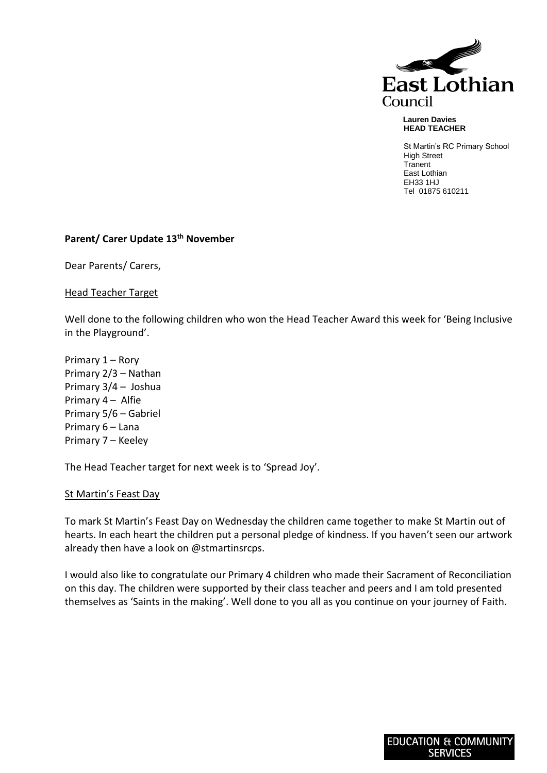

#### **Lauren Davies HEAD TEACHER**

St Martin's RC Primary School High Street **Tranent** East Lothian EH33 1HJ Tel 01875 610211

# **Parent/ Carer Update 13th November**

Dear Parents/ Carers,

Head Teacher Target

Well done to the following children who won the Head Teacher Award this week for 'Being Inclusive in the Playground'.

Primary 1 – Rory Primary 2/3 – Nathan Primary 3/4 – Joshua Primary 4 – Alfie Primary 5/6 – Gabriel Primary 6 – Lana Primary 7 – Keeley

The Head Teacher target for next week is to 'Spread Joy'.

### St Martin's Feast Day

To mark St Martin's Feast Day on Wednesday the children came together to make St Martin out of hearts. In each heart the children put a personal pledge of kindness. If you haven't seen our artwork already then have a look on @stmartinsrcps.

I would also like to congratulate our Primary 4 children who made their Sacrament of Reconciliation on this day. The children were supported by their class teacher and peers and I am told presented themselves as 'Saints in the making'. Well done to you all as you continue on your journey of Faith.